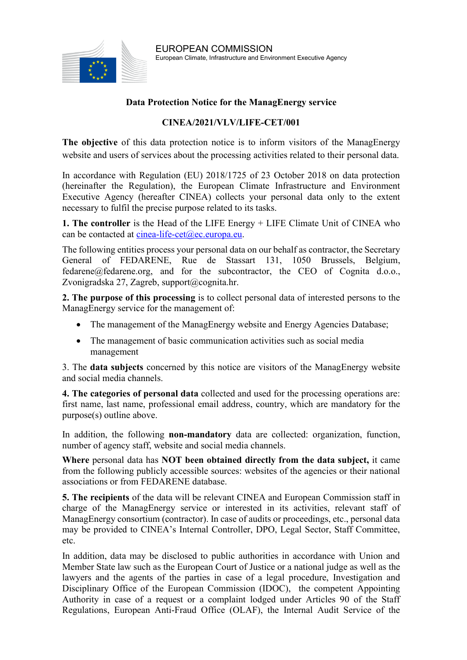

## **Data Protection Notice for the ManagEnergy service**

## **CINEA/2021/VLV/LIFE-CET/001**

**The objective** of this data protection notice is to inform visitors of the ManagEnergy website and users of services about the processing activities related to their personal data.

In accordance with Regulation (EU) 2018/1725 of 23 October 2018 on data protection (hereinafter the Regulation), the European Climate Infrastructure and Environment Executive Agency (hereafter CINEA) collects your personal data only to the extent necessary to fulfil the precise purpose related to its tasks.

**1. The controller** is the Head of the LIFE Energy + LIFE Climate Unit of CINEA who can be contacted at [cinea-life-cet@ec.europa.eu.](mailto:cinea-life-cet@ec.europa.eu)

The following entities process your personal data on our behalf as contractor, the Secretary General of FEDARENE, Rue de Stassart 131, 1050 Brussels, Belgium, fedarene@fedarene.org, and for the subcontractor, the CEO of Cognita d.o.o., Zvonigradska 27, Zagreb, support@cognita.hr.

**2. The purpose of this processing** is to collect personal data of interested persons to the ManagEnergy service for the management of:

- The management of the ManagEnergy website and Energy Agencies Database;
- The management of basic communication activities such as social media management

3. The **data subjects** concerned by this notice are visitors of the ManagEnergy website and social media channels.

**4. The categories of personal data** collected and used for the processing operations are: first name, last name, professional email address, country, which are mandatory for the purpose(s) outline above.

In addition, the following **non-mandatory** data are collected: organization, function, number of agency staff, website and social media channels.

**Where** personal data has **NOT been obtained directly from the data subject,** it came from the following publicly accessible sources: websites of the agencies or their national associations or from FEDARENE database.

**5. The recipients** of the data will be relevant CINEA and European Commission staff in charge of the ManagEnergy service or interested in its activities, relevant staff of ManagEnergy consortium (contractor). In case of audits or proceedings, etc., personal data may be provided to CINEA's Internal Controller, DPO, Legal Sector, Staff Committee, etc.

In addition, data may be disclosed to public authorities in accordance with Union and Member State law such as the European Court of Justice or a national judge as well as the lawyers and the agents of the parties in case of a legal procedure, Investigation and Disciplinary Office of the European Commission (IDOC), the competent Appointing Authority in case of a request or a complaint lodged under Articles 90 of the Staff Regulations, European Anti-Fraud Office (OLAF), the Internal Audit Service of the